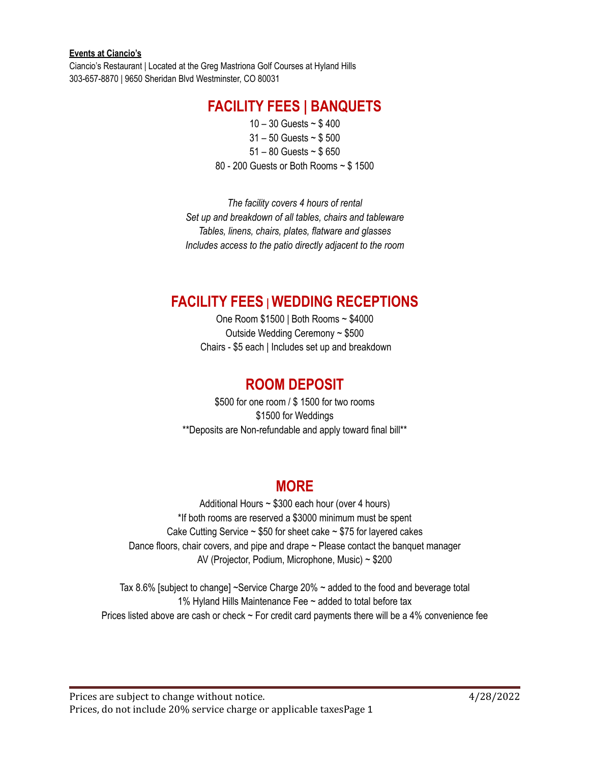Ciancio's Restaurant | Located at the Greg Mastriona Golf Courses at Hyland Hills 303-657-8870 | 9650 Sheridan Blvd Westminster, CO 80031

### **FACILITY FEES | BANQUETS**

 – 30 Guests ~ \$ 400 – 50 Guests ~ \$ 500 – 80 Guests ~ \$ 650 - 200 Guests or Both Rooms ~ \$ 1500

*The facility covers 4 hours of rental Set up and breakdown of all tables, chairs and tableware Tables, linens, chairs, plates, flatware and glasses Includes access to the patio directly adjacent to the room*

### **FACILITY FEES | WEDDING RECEPTIONS**

One Room \$1500 | Both Rooms ~ \$4000 Outside Wedding Ceremony ~ \$500 Chairs - \$5 each | Includes set up and breakdown

### **ROOM DEPOSIT**

\$500 for one room / \$ 1500 for two rooms \$1500 for Weddings \*\*Deposits are Non-refundable and apply toward final bill\*\*

### **MORE**

Additional Hours ~ \$300 each hour (over 4 hours) \*If both rooms are reserved a \$3000 minimum must be spent Cake Cutting Service  $\sim$  \$50 for sheet cake  $\sim$  \$75 for layered cakes Dance floors, chair covers, and pipe and drape  $\sim$  Please contact the banquet manager AV (Projector, Podium, Microphone, Music) ~ \$200

Tax 8.6% [subject to change] ~Service Charge 20% ~ added to the food and beverage total 1% Hyland Hills Maintenance Fee ~ added to total before tax Prices listed above are cash or check ~ For credit card payments there will be a 4% convenience fee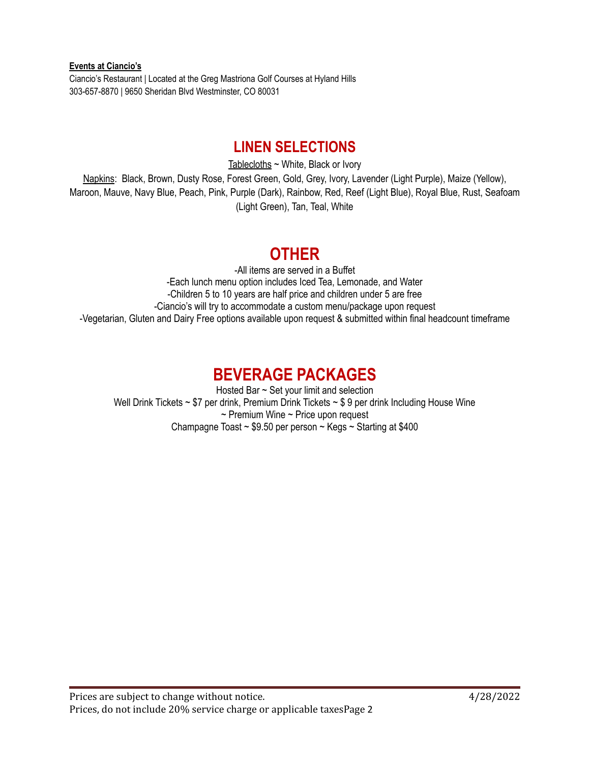**Events at Ciancio's** Ciancio's Restaurant | Located at the Greg Mastriona Golf Courses at Hyland Hills 303-657-8870 | 9650 Sheridan Blvd Westminster, CO 80031

## **LINEN SELECTIONS**

Tablecloths ~ White, Black or Ivory Napkins: Black, Brown, Dusty Rose, Forest Green, Gold, Grey, Ivory, Lavender (Light Purple), Maize (Yellow), Maroon, Mauve, Navy Blue, Peach, Pink, Purple (Dark), Rainbow, Red, Reef (Light Blue), Royal Blue, Rust, Seafoam (Light Green), Tan, Teal, White

## **OTHER**

-All items are served in a Buffet -Each lunch menu option includes Iced Tea, Lemonade, and Water -Children 5 to 10 years are half price and children under 5 are free -Ciancio's will try to accommodate a custom menu/package upon request -Vegetarian, Gluten and Dairy Free options available upon request & submitted within final headcount timeframe

# **BEVERAGE PACKAGES**

Hosted Bar ~ Set your limit and selection Well Drink Tickets ~ \$7 per drink, Premium Drink Tickets ~ \$9 per drink Including House Wine  $\sim$  Premium Wine  $\sim$  Price upon request Champagne Toast ~ \$9.50 per person ~ Kegs ~ Starting at \$400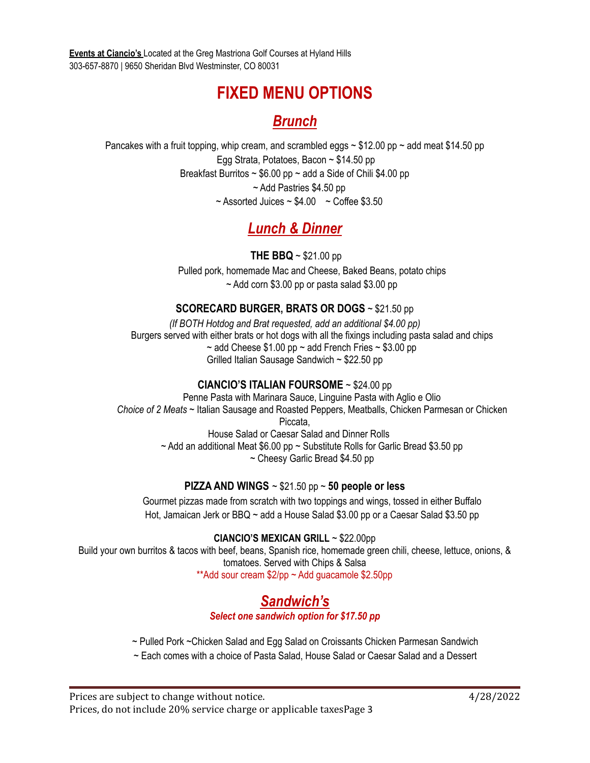**Events at Ciancio's** Located at the Greg Mastriona Golf Courses at Hyland Hills 303-657-8870 | 9650 Sheridan Blvd Westminster, CO 80031

# **FIXED MENU OPTIONS**

### *Brunch*

Pancakes with a fruit topping, whip cream, and scrambled eggs  $\sim$  \$12.00 pp  $\sim$  add meat \$14.50 pp Egg Strata, Potatoes, Bacon ~ \$14.50 pp Breakfast Burritos  $\sim$  \$6.00 pp  $\sim$  add a Side of Chili \$4.00 pp ~ Add Pastries \$4.50 pp  $\sim$  Assorted Juices  $\sim$  \$4.00  $\sim$  Coffee \$3.50

# *Lunch & Dinner*

**THE BBQ** ~ \$21.00 pp Pulled pork, homemade Mac and Cheese, Baked Beans, potato chips  $\sim$  Add corn \$3.00 pp or pasta salad \$3.00 pp

#### **SCORECARD BURGER, BRATS OR DOGS** ~ \$21.50 pp

*(If BOTH Hotdog and Brat requested, add an additional \$4.00 pp)* Burgers served with either brats or hot dogs with all the fixings including pasta salad and chips  $\sim$  add Cheese \$1.00 pp  $\sim$  add French Fries  $\sim$  \$3.00 pp Grilled Italian Sausage Sandwich ~ \$22.50 pp

#### **CIANCIO'S ITALIAN FOURSOME** ~ \$24.00 pp

Penne Pasta with Marinara Sauce, Linguine Pasta with Aglio e Olio *Choice of 2 Meats* ~ Italian Sausage and Roasted Peppers, Meatballs, Chicken Parmesan or Chicken Piccata, House Salad or Caesar Salad and Dinner Rolls  $\sim$  Add an additional Meat \$6.00 pp  $\sim$  Substitute Rolls for Garlic Bread \$3.50 pp ~ Cheesy Garlic Bread \$4.50 pp

#### **PIZZA AND WINGS** ~ \$21.50 pp ~ **50 people or less**

Gourmet pizzas made from scratch with two toppings and wings, tossed in either Buffalo Hot, Jamaican Jerk or BBQ ~ add a House Salad \$3.00 pp or a Caesar Salad \$3.50 pp

**CIANCIO'S MEXICAN GRILL** ~ \$22.00pp Build your own burritos & tacos with beef, beans, Spanish rice, homemade green chili, cheese, lettuce, onions, & tomatoes. Served with Chips & Salsa \*\*Add sour cream \$2/pp ~ Add guacamole \$2.50pp

#### *Sandwich's Select one sandwich option for \$17.50 pp*

~ Pulled Pork ~Chicken Salad and Egg Salad on Croissants Chicken Parmesan Sandwich

~ Each comes with a choice of Pasta Salad, House Salad or Caesar Salad and a Dessert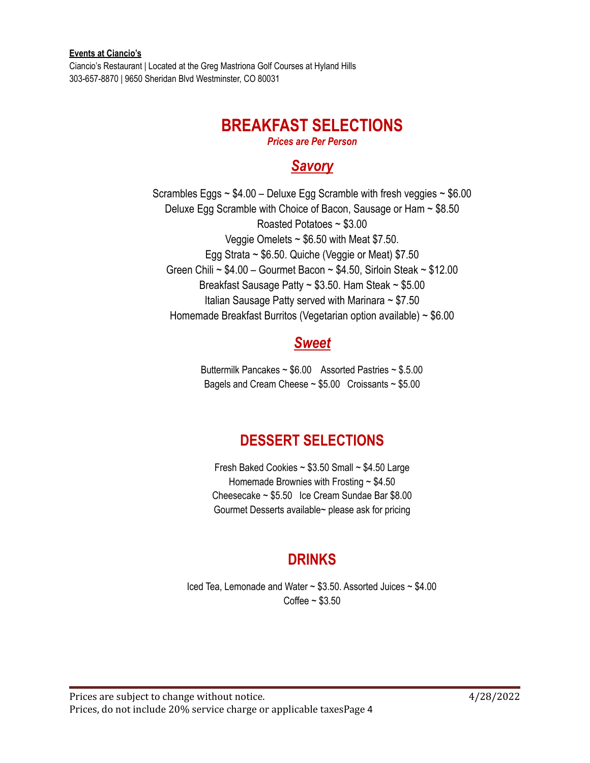Ciancio's Restaurant | Located at the Greg Mastriona Golf Courses at Hyland Hills 303-657-8870 | 9650 Sheridan Blvd Westminster, CO 80031

### **BREAKFAST SELECTIONS**

*Prices are Per Person*

### *Savory*

Scrambles Eggs  $\sim$  \$4.00 – Deluxe Egg Scramble with fresh veggies  $\sim$  \$6.00 Deluxe Egg Scramble with Choice of Bacon, Sausage or Ham ~ \$8.50 Roasted Potatoes ~ \$3.00 Veggie Omelets  $\sim$  \$6.50 with Meat \$7.50. Egg Strata  $\sim$  \$6.50. Quiche (Veggie or Meat) \$7.50 Green Chili ~  $$4.00$  - Gourmet Bacon ~  $$4.50$ , Sirloin Steak ~  $$12.00$ Breakfast Sausage Patty ~ \$3.50. Ham Steak ~ \$5.00 Italian Sausage Patty served with Marinara ~ \$7.50 Homemade Breakfast Burritos (Vegetarian option available) ~ \$6.00

### *Sweet*

Buttermilk Pancakes ~ \$6.00 Assorted Pastries ~ \$.5.00 Bagels and Cream Cheese  $\sim $5.00$  Croissants  $\sim $5.00$ 

## **DESSERT SELECTIONS**

Fresh Baked Cookies ~ \$3.50 Small ~ \$4.50 Large Homemade Brownies with Frosting ~ \$4.50 Cheesecake ~ \$5.50 Ice Cream Sundae Bar \$8.00 Gourmet Desserts available~ please ask for pricing

### **DRINKS**

Iced Tea, Lemonade and Water ~ \$3.50. Assorted Juices ~ \$4.00 Coffee ~ \$3.50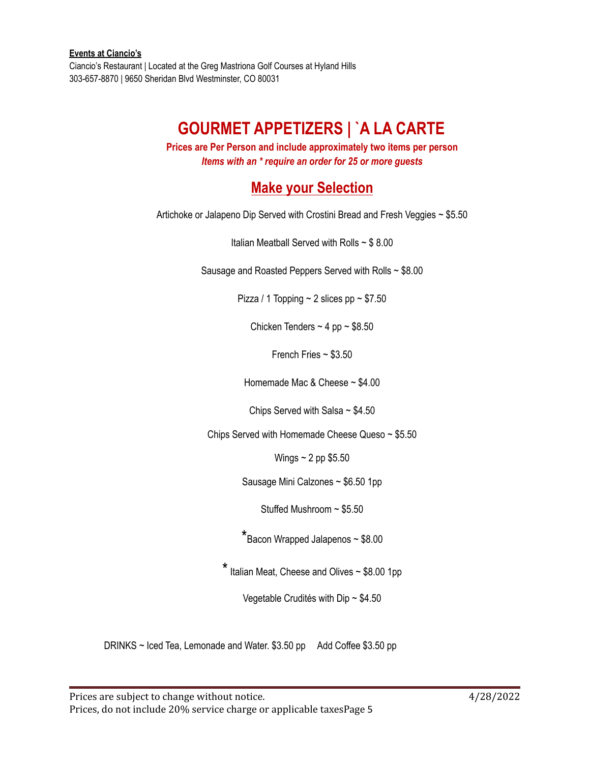**Events at Ciancio's** Ciancio's Restaurant | Located at the Greg Mastriona Golf Courses at Hyland Hills 303-657-8870 | 9650 Sheridan Blvd Westminster, CO 80031

# **GOURMET APPETIZERS | `A LA CARTE**

**Prices are Per Person and include approximately two items per person** *Items with an \* require an order for 25 or more guests*

### **Make your Selection**

Artichoke or Jalapeno Dip Served with Crostini Bread and Fresh Veggies ~ \$5.50

Italian Meatball Served with Rolls ~ \$ 8.00

Sausage and Roasted Peppers Served with Rolls ~ \$8.00

Pizza / 1 Topping  $\sim$  2 slices pp  $\sim$  \$7.50

Chicken Tenders  $\sim$  4 pp  $\sim$  \$8.50

French Fries ~ \$3.50

Homemade Mac & Cheese ~ \$4.00

Chips Served with Salsa  $\sim$  \$4.50

Chips Served with Homemade Cheese Queso ~ \$5.50

Wings  $\sim$  2 pp \$5.50

Sausage Mini Calzones ~ \$6.50 1pp

Stuffed Mushroom ~ \$5.50

\*Bacon Wrapped Jalapenos <sup>~</sup> \$8.00

 $*$  Italian Meat, Cheese and Olives  $\sim$  \$8.00 1pp

Vegetable Crudités with Dip ~ \$4.50

DRINKS ~ Iced Tea, Lemonade and Water. \$3.50 pp Add Coffee \$3.50 pp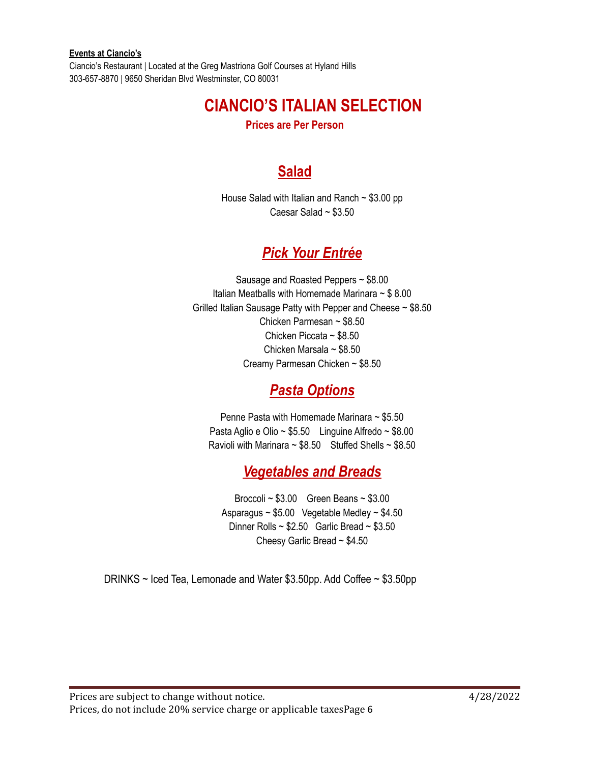Ciancio's Restaurant | Located at the Greg Mastriona Golf Courses at Hyland Hills 303-657-8870 | 9650 Sheridan Blvd Westminster, CO 80031

# **CIANCIO'S ITALIAN SELECTION**

**Prices are Per Person**

## **Salad**

House Salad with Italian and Ranch ~ \$3.00 pp Caesar Salad ~ \$3.50

### *Pick Your Entrée*

Sausage and Roasted Peppers ~ \$8.00 Italian Meatballs with Homemade Marinara  $\sim$  \$8.00 Grilled Italian Sausage Patty with Pepper and Cheese ~ \$8.50 Chicken Parmesan ~ \$8.50 Chicken Piccata ~ \$8.50 Chicken Marsala ~ \$8.50 Creamy Parmesan Chicken ~ \$8.50

## *Pasta Options*

Penne Pasta with Homemade Marinara ~ \$5.50 Pasta Aglio e Olio ~  $$5.50$  Linguine Alfredo ~  $$8.00$ Ravioli with Marinara  $\sim$  \$8.50 Stuffed Shells  $\sim$  \$8.50

## *Vegetables and Breads*

Broccoli ~ \$3.00 Green Beans ~ \$3.00 Asparagus ~ \$5.00 Vegetable Medley ~ \$4.50 Dinner Rolls  $\sim$  \$2.50 Garlic Bread  $\sim$  \$3.50 Cheesy Garlic Bread ~ \$4.50

DRINKS ~ Iced Tea, Lemonade and Water \$3.50pp. Add Coffee ~ \$3.50pp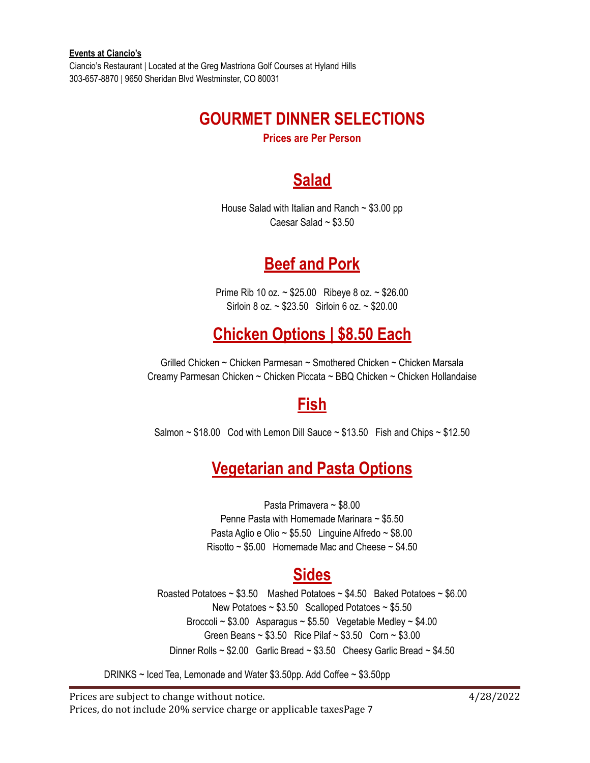Ciancio's Restaurant | Located at the Greg Mastriona Golf Courses at Hyland Hills 303-657-8870 | 9650 Sheridan Blvd Westminster, CO 80031

# **GOURMET DINNER SELECTIONS**

**Prices are Per Person**

# **Salad**

House Salad with Italian and Ranch  $\sim$  \$3.00 pp Caesar Salad ~ \$3.50

# **Beef and Pork**

Prime Rib 10 oz. ~ \$25.00 Ribeye 8 oz. ~ \$26.00 Sirloin 8 oz. ~ \$23.50 Sirloin 6 oz. ~ \$20.00

# **Chicken Options | \$8.50 Each**

Grilled Chicken ~ Chicken Parmesan ~ Smothered Chicken ~ Chicken Marsala Creamy Parmesan Chicken ~ Chicken Piccata ~ BBQ Chicken ~ Chicken Hollandaise

# **Fish**

Salmon  $\sim$  \$18.00 Cod with Lemon Dill Sauce  $\sim$  \$13.50 Fish and Chips  $\sim$  \$12.50

# **Vegetarian and Pasta Options**

Pasta Primavera ~ \$8.00 Penne Pasta with Homemade Marinara ~ \$5.50 Pasta Aglio e Olio ~ \$5.50 Linguine Alfredo ~ \$8.00 Risotto  $\sim$  \$5.00 Homemade Mac and Cheese  $\sim$  \$4.50

# **Sides**

Roasted Potatoes  $\sim $3.50$  Mashed Potatoes  $\sim $4.50$  Baked Potatoes  $\sim $6.00$ New Potatoes  $\sim$  \$3.50 Scalloped Potatoes  $\sim$  \$5.50 Broccoli  $\sim$  \$3.00 Asparagus  $\sim$  \$5.50 Vegetable Medley  $\sim$  \$4.00 Green Beans ~ \$3.50 Rice Pilaf ~ \$3.50 Corn ~ \$3.00 Dinner Rolls ~ \$2.00 Garlic Bread ~ \$3.50 Cheesy Garlic Bread ~ \$4.50

DRINKS ~ Iced Tea, Lemonade and Water \$3.50pp. Add Coffee ~ \$3.50pp